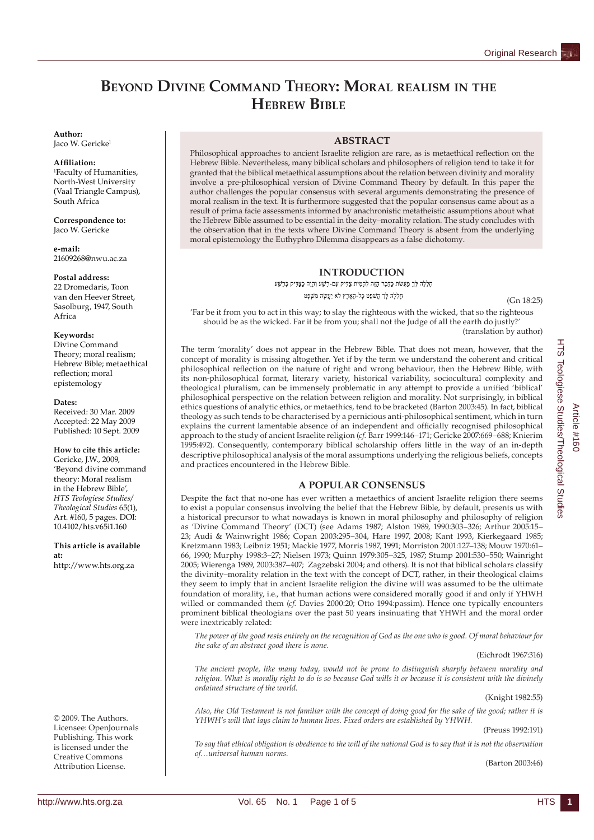# **BEYOND DIVINE COMMAND THEORY: MORAL REALISM IN THE HEBREW BIBLE**

#### **Author:**

Jaco W. Gericke<sup>1</sup>

#### **Affi liation:**

1 Faculty of Humanities, North-West University (Vaal Triangle Campus), South Africa

**Correspondence to:** Jaco W. Gericke

**e-mail:** 21609268@nwu.ac.za

## **Postal address:**

22 Dromedaris, Toon van den Heever Street, Sasolburg, 1947, South Africa

#### **Keywords:**

Divine Command Theory; moral realism; Hebrew Bible; metaethical reflection; moral epistemology

#### **Dates:**

Received: 30 Mar. 2009 Accepted: 22 May 2009 Published: 10 Sept. 2009

**How to cite this article:** Gericke, J.W., 2009, 'Beyond divine command theory: Moral realism in the Hebrew Bible', *HTS Teologiese Studies/ Theological Studies* 65(1), Art. #160, 5 pages. DOI: 10.4102/hts.v65i1.160

**This article is available at:** http://www.hts.org.za

© 2009. The Authors. Licensee: OpenJournals Publishing. This work is licensed under the Creative Commons Attribution License.

## **ABSTRACT**

Philosophical approaches to ancient Israelite religion are rare, as is metaethical reflection on the Hebrew Bible. Nevertheless, many biblical scholars and philosophers of religion tend to take it for granted that the biblical metaethical assumptions about the relation between divinity and morality involve a pre-philosophical version of Divine Command Theory by default. In this paper the author challenges the popular consensus with several arguments demonstrating the presence of moral realism in the text. It is furthermore suggested that the popular consensus came about as a result of prima facie assessments informed by anachronistic metatheistic assumptions about what the Hebrew Bible assumed to be essential in the deity–morality relation. The study concludes with the observation that in the texts where Divine Command Theory is absent from the underlying moral epistemology the Euthyphro Dilemma disappears as a false dichotomy.

# **INTRODUCTION**

חללה לך מעשת כדבר הזה להמית צדיק עם-רשע והיה כצדיק כרשע חַלְלָה לָךְ הֲשׁפֵט כָּל-הָאָרֶץ לֹא יַעֲשָׂה מִשְׁפָּט

(Gn 18:25)

'Far be it from you to act in this way; to slay the righteous with the wicked, that so the righteous should be as the wicked. Far it be from you; shall not the Judge of all the earth do justly?' (translation by author)

The term 'morality' does not appear in the Hebrew Bible. That does not mean, however, that the concept of morality is missing altogether. Yet if by the term we understand the coherent and critical philosophical reflection on the nature of right and wrong behaviour, then the Hebrew Bible, with its non-philosophical format, literary variety, historical variability, sociocultural complexity and theological pluralism, can be immensely problematic in any attempt to provide a unified 'biblical' philosophical perspective on the relation between religion and morality. Not surprisingly, in biblical ethics questions of analytic ethics, or metaethics, tend to be bracketed (Barton 2003:45). In fact, biblical theology as such tends to be characterised by a pernicious anti-philosophical sentiment, which in turn explains the current lamentable absence of an independent and officially recognised philosophical approach to the study of ancient Israelite religion (*cf.* Barr 1999:146–171; Gericke 2007:669–688; Knierim 1995:492). Consequently, contemporary biblical scholarship offers little in the way of an in-depth descriptive philosophical analysis of the moral assumptions underlying the religious beliefs, concepts and practices encountered in the Hebrew Bible.

# **A POPULAR CONSENSUS**

Despite the fact that no-one has ever written a metaethics of ancient Israelite religion there seems to exist a popular consensus involving the belief that the Hebrew Bible, by default, presents us with a historical precursor to what nowadays is known in moral philosophy and philosophy of religion as 'Divine Command Theory' (DCT) (see Adams 1987; Alston 1989, 1990:303–326; Arthur 2005:15– 23; Audi & Wainwright 1986; Copan 2003:295–304, Hare 1997, 2008; Kant 1993, Kierkegaard 1985; Kretzmann 1983; Leibniz 1951; Mackie 1977, Morris 1987, 1991; Morriston 2001:127–138; Mouw 1970:61– 66, 1990; Murphy 1998:3–27; Nielsen 1973; Quinn 1979:305–325, 1987; Stump 2001:530–550; Wainright 2005; Wierenga 1989, 2003:387–407; Zagzebski 2004; and others). It is not that biblical scholars classify the divinity–morality relation in the text with the concept of DCT, rather, in their theological claims they seem to imply that in ancient Israelite religion the divine will was assumed to be the ultimate foundation of morality, i.e., that human actions were considered morally good if and only if YHWH willed or commanded them (*cf.* Davies 2000:20; Otto 1994:passim). Hence one typically encounters prominent biblical theologians over the past 50 years insinuating that YHWH and the moral order were inextricably related:

*The power of the good rests entirely on the recognition of God as the one who is good. Of moral behaviour for the sake of an abstract good there is none.*

## (Eichrodt 1967:316)

*The ancient people, like many today, would not be prone to distinguish sharply between morality and religion. What is morally right to do is so because God wills it or because it is consistent with the divinely ordained structure of the world*.

#### (Knight 1982:55)

*Also, the Old Testament is not familiar with the concept of doing good for the sake of the good; rather it is YHWH's will that lays claim to human lives. Fixed orders are established by YHWH.*

(Preuss 1992:191)

*To say that ethical obligation is obedience to the will of the national God is to say that it is not the observation of…universal human norms.* 

(Barton 2003:46)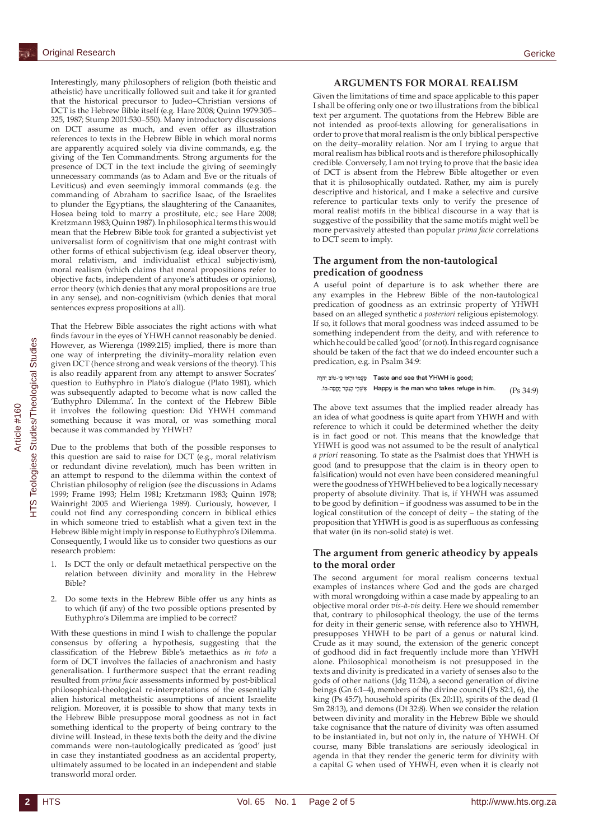Interestingly, many philosophers of religion (both theistic and atheistic) have uncritically followed suit and take it for granted that the historical precursor to Judeo–Christian versions of DCT is the Hebrew Bible itself (e.g. Hare 2008; Quinn 1979:305– 325, 1987; Stump 2001:530–550). Many introductory discussions on DCT assume as much, and even offer as illustration references to texts in the Hebrew Bible in which moral norms are apparently acquired solely via divine commands, e.g. the giving of the Ten Commandments. Strong arguments for the presence of DCT in the text include the giving of seemingly unnecessary commands (as to Adam and Eve or the rituals of Leviticus) and even seemingly immoral commands (e.g. the commanding of Abraham to sacrifice Isaac, of the Israelites to plunder the Egyptians, the slaughtering of the Canaanites, Hosea being told to marry a prostitute, etc.; see Hare 2008; Kretzmann 1983; Quinn 1987). In philosophical terms this would mean that the Hebrew Bible took for granted a subjectivist yet universalist form of cognitivism that one might contrast with other forms of ethical subjectivism (e.g. ideal observer theory, moral relativism, and individualist ethical subjectivism), moral realism (which claims that moral propositions refer to objective facts, independent of anyone's attitudes or opinions), error theory (which denies that any moral propositions are true in any sense), and non-cognitivism (which denies that moral sentences express propositions at all).

That the Hebrew Bible associates the right actions with what finds favour in the eyes of YHWH cannot reasonably be denied. However, as Wierenga (1989:215) implied, there is more than one way of interpreting the divinity–morality relation even given DCT (hence strong and weak versions of the theory). This is also readily apparent from any attempt to answer Socrates' question to Euthyphro in Plato's dialogue (Plato 1981), which was subsequently adapted to become what is now called the 'Euthyphro Dilemma'. In the context of the Hebrew Bible it involves the following question: Did YHWH command something because it was moral, or was something moral because it was commanded by YHWH?

Due to the problems that both of the possible responses to this question are said to raise for DCT (e.g., moral relativism or redundant divine revelation), much has been written in an attempt to respond to the dilemma within the context of Christian philosophy of religion (see the discussions in Adams 1999; Frame 1993; Helm 1981; Kretzmann 1983; Quinn 1978; Wainright 2005 and Wierienga 1989). Curiously, however, I could not find any corresponding concern in biblical ethics in which someone tried to establish what a given text in the Hebrew Bible might imply in response to Euthyphro's Dilemma. Consequently, I would like us to consider two questions as our research problem:

- 1. Is DCT the only or default metaethical perspective on the relation between divinity and morality in the Hebrew Bible?
- 2. Do some texts in the Hebrew Bible offer us any hints as to which (if any) of the two possible options presented by Euthyphro's Dilemma are implied to be correct?

With these questions in mind I wish to challenge the popular consensus by offering a hypothesis, suggesting that the classification of the Hebrew Bible's metaethics as *in toto* a form of DCT involves the fallacies of anachronism and hasty generalisation. I furthermore suspect that the errant reading resulted from *prima facie* assessments informed by post-biblical philosophical-theological re-interpretations of the essentially alien historical metatheistic assumptions of ancient Israelite religion. Moreover, it is possible to show that many texts in the Hebrew Bible presuppose moral goodness as not in fact something identical to the property of being contrary to the divine will. Instead, in these texts both the deity and the divine commands were non-tautologically predicated as 'good' just in case they instantiated goodness as an accidental property, ultimately assumed to be located in an independent and stable transworld moral order.

## **ARGUMENTS FOR MORAL REALISM**

Given the limitations of time and space applicable to this paper I shall be offering only one or two illustrations from the biblical text per argument. The quotations from the Hebrew Bible are not intended as proof-texts allowing for generalisations in order to prove that moral realism is the only biblical perspective on the deity–morality relation. Nor am I trying to argue that moral realism has biblical roots and is therefore philosophically credible. Conversely, I am not trying to prove that the basic idea of DCT is absent from the Hebrew Bible altogether or even that it is philosophically outdated. Rather, my aim is purely descriptive and historical, and I make a selective and cursive reference to particular texts only to verify the presence of moral realist motifs in the biblical discourse in a way that is suggestive of the possibility that the same motifs might well be more pervasively attested than popular *prima facie* correlations to DCT seem to imply.

# **The argument from the non-tautological predication of goodness**

A useful point of departure is to ask whether there are any examples in the Hebrew Bible of the non-tautological predication of goodness as an extrinsic property of YHWH based on an alleged synthetic *a posteriori* religious epistemology. If so, it follows that moral goodness was indeed assumed to be something independent from the deity, and with reference to which he could be called 'good' (or not). In this regard cognisance should be taken of the fact that we do indeed encounter such a predication, e.g. in Psalm 34:9:

```
יִהְוָה Taste and see that YHWH is good;
.ia-אָבֶר יָהֶפָה Happy is the man who takes refuge in him.
                                                          (P_S 34.9)
```
The above text assumes that the implied reader already has an idea of what goodness is quite apart from YHWH and with reference to which it could be determined whether the deity is in fact good or not. This means that the knowledge that YHWH is good was not assumed to be the result of analytical *a priori* reasoning. To state as the Psalmist does that YHWH is good (and to presuppose that the claim is in theory open to falsification) would not even have been considered meaningful were the goodness of YHWH believed to be a logically necessary property of absolute divinity. That is, if YHWH was assumed to be good by definition – if goodness was assumed to be in the logical constitution of the concept of deity – the stating of the proposition that YHWH is good is as superfluous as confessing that water (in its non-solid state) is wet.

# **The argument from generic atheodicy by appeals to the moral order**

The second argument for moral realism concerns textual examples of instances where God and the gods are charged with moral wrongdoing within a case made by appealing to an objective moral order *vis-à-vis* deity. Here we should remember that, contrary to philosophical theology, the use of the terms for deity in their generic sense, with reference also to YHWH, presupposes YHWH to be part of a genus or natural kind. Crude as it may sound, the extension of the generic concept of godhood did in fact frequently include more than YHWH alone. Philosophical monotheism is not presupposed in the texts and divinity is predicated in a variety of senses also to the gods of other nations (Jdg 11:24), a second generation of divine beings (Gn 6:1–4), members of the divine council (Ps 82:1, 6), the king (Ps 45:7), household spirits (Ex 20:11), spirits of the dead (1 Sm 28:13), and demons (Dt 32:8). When we consider the relation between divinity and morality in the Hebrew Bible we should take cognisance that the nature of divinity was often assumed to be instantiated in, but not only in, the nature of YHWH. Of course, many Bible translations are seriously ideological in agenda in that they render the generic term for divinity with a capital G when used of YHWH, even when it is clearly not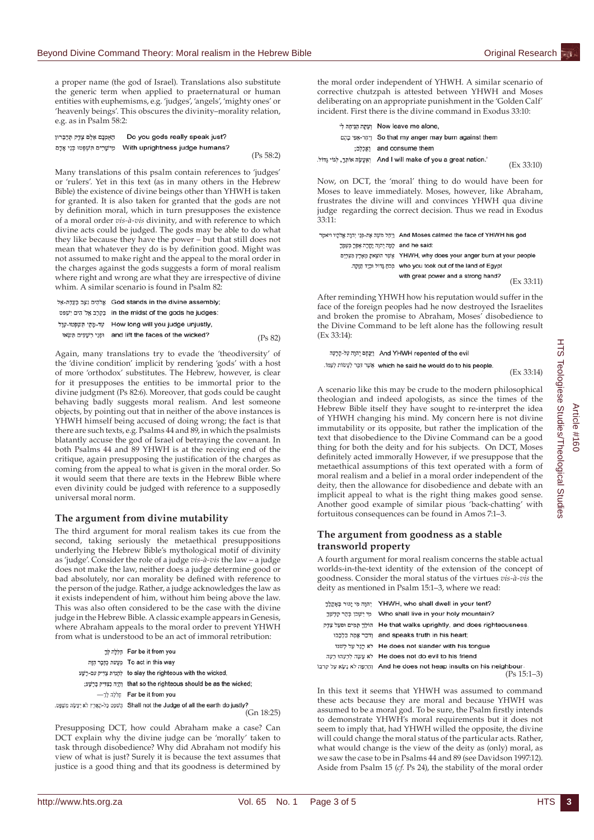a proper name (the god of Israel). Translations also substitute the generic term when applied to praeternatural or human entities with euphemisms, e.g. 'judges', 'angels', 'mighty ones' or 'heavenly beings'. This obscures the divinity–morality relation, e.g. as in Psalm 58:2:

```
האמנם אלם צדק תדברון
                      Do you gods really speak just?
מַיֹשָׁרִים תַּשְׁפָּטוּ בְּנֵי אֶדָם With uprightness judge humans?
                                                                    (Ps 58:2)
```
Many translations of this psalm contain references to 'judges' or 'rulers'. Yet in this text (as in many others in the Hebrew Bible) the existence of divine beings other than YHWH is taken for granted. It is also taken for granted that the gods are not by definition moral, which in turn presupposes the existence of a moral order *vis-à-vis* divinity, and with reference to which divine acts could be judged. The gods may be able to do what they like because they have the power – but that still does not mean that whatever they do is by definition good. Might was not assumed to make right and the appeal to the moral order in the charges against the gods suggests a form of moral realism where right and wrong are what they are irrespective of divine whim. A similar scenario is found in Psalm 82:

```
,<br>God stands in the divine assembly אֵלהִים נִצְב בַּעֲדָת-אֵל
in the midst of the gods he judges: בַּקְרָב אֱלֹ הִים יִשְׁפּט
ּעָד-מֶתֵי תִּשׁׁפְּטוּ-עָוָל How long will you judge unjustly,
 and lift the faces of the wicked?<br>
and lift the faces of the wicked?
                                                                                   (Ps 82)
```
Again, many translations try to evade the 'theodiversity' of the 'divine condition' implicit by rendering 'gods' with a host of more 'orthodox' substitutes. The Hebrew, however, is clear for it presupposes the entities to be immortal prior to the divine judgment (Ps 82:6). Moreover, that gods could be caught behaving badly suggests moral realism. And lest someone objects, by pointing out that in neither of the above instances is YHWH himself being accused of doing wrong; the fact is that there are such texts, e.g. Psalms 44 and 89, in which the psalmists blatantly accuse the god of Israel of betraying the covenant. In both Psalms 44 and 89 YHWH is at the receiving end of the critique, again presupposing the justification of the charges as coming from the appeal to what is given in the moral order. So it would seem that there are texts in the Hebrew Bible where even divinity could be judged with reference to a supposedly universal moral norm.

## **The argument from divine mutability**

The third argument for moral realism takes its cue from the second, taking seriously the metaethical presuppositions underlying the Hebrew Bible's mythological motif of divinity as 'judge'. Consider the role of a judge *vis-à-vis* the law – a judge does not make the law, neither does a judge determine good or bad absolutely, nor can morality be defined with reference to the person of the judge. Rather, a judge acknowledges the law as it exists independent of him, without him being above the law. This was also often considered to be the case with the divine judge in the Hebrew Bible. A classic example appears in Genesis, where Abraham appeals to the moral order to prevent YHWH from what is understood to be an act of immoral retribution:

```
קַלְלָה קֹרָ
            To act in this way מעשת כדבר הזה
        to slay the righteous with the wicked,
          וְהָיָה כַצְדִּיק כָּרָשׁע: that so the righteous should be as the wicked;
                 הללה לְךָ Far be it from you
. הַשׁפָּט כָּל-הָאָרְץ לֹא יַעֲשֶׂה מִשְׁפָּט. Shall not the Judge of all the earth do justly?
                                                                        (Gn 18:25)
```
Presupposing DCT, how could Abraham make a case? Can DCT explain why the divine judge can be 'morally' taken to task through disobedience? Why did Abraham not modify his view of what is just? Surely it is because the text assumes that justice is a good thing and that its goodness is determined by the moral order independent of YHWH. A similar scenario of corrective chutzpah is attested between YHWH and Moses deliberating on an appropriate punishment in the 'Golden Calf' incident. First there is the divine command in Exodus 33:10:

| ועתה הניחה לי Now leave me alone,                                          |            |
|----------------------------------------------------------------------------|------------|
| וַיְחֵר-אַפּי בַהֶם So that my anger may burn against them                 |            |
| :אכלם: and consume them                                                    |            |
| And I will make of you a great nation.' (אַעֲשֶׂה אוֹתְךָ, לְגוֹי גֶּדוֹל. | (EX 33:10) |

Now, on DCT, the 'moral' thing to do would have been for Moses to leave immediately. Moses, however, like Abraham, frustrates the divine will and convinces YHWH qua divine judge regarding the correct decision. Thus we read in Exodus 33:11:

|                                     | And Moses calmed the face of YHWH his god וַיְחֵל מֹשֶׁה אֶת-פָּנִי יְהוָה אֱלֹהֶיו ויאמֶר |
|-------------------------------------|--------------------------------------------------------------------------------------------|
| and he said: למה יהוה יסרה אפר בעמר |                                                                                            |
|                                     | אַשָׁר הוֹצָאת מַאָרֶץ מְצִרְיָם YHWH, why does your anger burn at your people             |
|                                     | who you took out of the land of Egypt הַכְּה גָּדוֹל וּבְיֵד הַזַּקָה.                     |
|                                     | with great power and a strong hand?<br>(EX 33:11)                                          |

After reminding YHWH how his reputation would suffer in the face of the foreign peoples had he now destroyed the Israelites and broken the promise to Abraham, Moses' disobedience to the Divine Command to be left alone has the following result (Ex 33:14):

וַיִּנָּחָם יְהוָה עֲל-הָרָעָה And YHWH repented of the evil

.שִׁיָּר דְּבֶר לַעֲשׂוֹת לְעָמּוֹ which he said he would do to his people.

(Ex 33:14)

A scenario like this may be crude to the modern philosophical theologian and indeed apologists, as since the times of the Hebrew Bible itself they have sought to re-interpret the idea of YHWH changing his mind. My concern here is not divine immutability or its opposite, but rather the implication of the text that disobedience to the Divine Command can be a good thing for both the deity and for his subjects. On DCT, Moses definitely acted immorally However, if we presuppose that the metaethical assumptions of this text operated with a form of moral realism and a belief in a moral order independent of the deity, then the allowance for disobedience and debate with an implicit appeal to what is the right thing makes good sense. Another good example of similar pious 'back-chatting' with fortuitous consequences can be found in Amos 7:1–3.

# **The argument from goodness as a stable transworld property**

A fourth argument for moral realism concerns the stable actual worlds-in-the-text identity of the extension of the concept of goodness. Consider the moral status of the virtues *vis-à-vis* the deity as mentioned in Psalm 15:1–3, where we read:

| יהנה מי יגור באקלד | YHWH, who shall dwell in your tent?                                           |
|--------------------|-------------------------------------------------------------------------------|
| מי ושכן בהר קדשר   | Who shall live in your holy mountain?                                         |
|                    | הוֹלָךְ הַמִים He that walks uprightly, and does righteousness,               |
|                    | ודבר אַמַת בַּלְבָבוּ and speaks truth in his heart;                          |
|                    | לא רגל על לשנוֹ He does not slander with his tongue                           |
|                    | He does not do evil to his friend לא עשה לרעהו רעה                            |
|                    | וחַרְפָּה לֹא נָשָׂא עַל קרבוֹ And he does not heap insults on his neighbour. |

(Ps 15:1–3)

In this text it seems that YHWH was assumed to command these acts because they are moral and because YHWH was assumed to be a moral god. To be sure, the Psalm firstly intends to demonstrate YHWH's moral requirements but it does not seem to imply that, had YHWH willed the opposite, the divine will could change the moral status of the particular acts. Rather, what would change is the view of the deity as (only) moral, as we saw the case to be in Psalms 44 and 89 (see Davidson 1997:12). Aside from Psalm 15 (*cf.* Ps 24), the stability of the moral order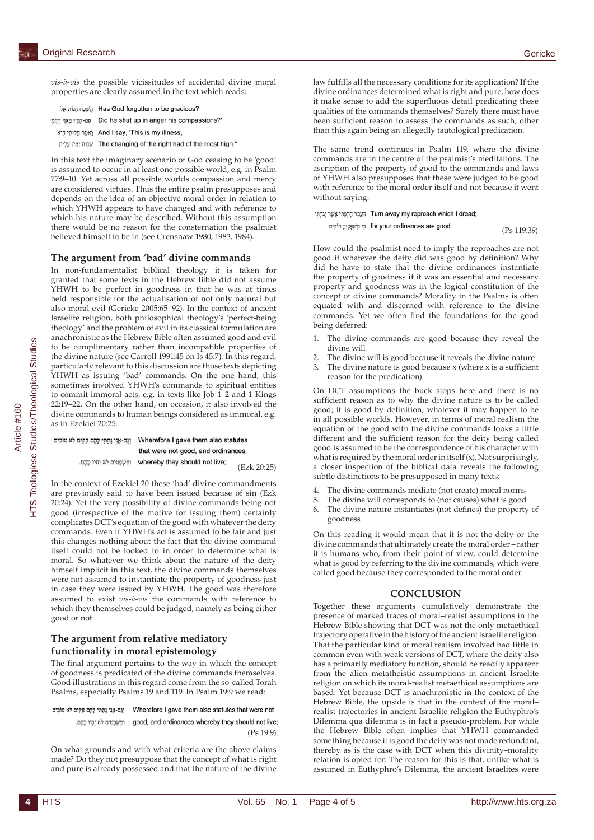*vis-à-vis* the possible vicissitudes of accidental divine moral properties are clearly assumed in the text which reads:

Has God forgotten to be gracious? הַשְׁכָה הַנוֹת אֵל

yp-סַפְּץ בְּאֶף רַחֲמָי Did he shut up in anger his compassions?

וַאמָר חַלּוֹתִי הִיא And I say, 'This is my illness,

ימִין עָלְיוֹן The changing of the right had of the most high."

In this text the imaginary scenario of God ceasing to be 'good' is assumed to occur in at least one possible world, e.g. in Psalm 77:9–10. Yet across all possible worlds compassion and mercy are considered virtues. Thus the entire psalm presupposes and depends on the idea of an objective moral order in relation to which YHWH appears to have changed and with reference to which his nature may be described. Without this assumption there would be no reason for the consternation the psalmist believed himself to be in (see Crenshaw 1980, 1983, 1984).

#### **The argument from 'bad' divine commands**

In non-fundamentalist biblical theology it is taken for granted that some texts in the Hebrew Bible did not assume YHWH to be perfect in goodness in that he was at times held responsible for the actualisation of not only natural but also moral evil (Gericke 2005:65–92). In the context of ancient Israelite religion, both philosophical theology's 'perfect-being theology' and the problem of evil in its classical formulation are anachronistic as the Hebrew Bible often assumed good and evil to be complimentary rather than incompatible properties of the divine nature (see Carroll 1991:45 on Is 45:7). In this regard, particularly relevant to this discussion are those texts depicting YHWH as issuing 'bad' commands. On the one hand, this sometimes involved YHWH's commands to spiritual entities to commit immoral acts, e.g. in texts like Job 1–2 and 1 Kings 22:19–22. On the other hand, on occasion, it also involved the divine commands to human beings considered as immoral, e.g. as in Ezekiel 20:25:

| וגם-אני נתתי להם חקים לא טו | Wherefore I gave them also statutes |  |
|-----------------------------|-------------------------------------|--|
|                             | that were not good, and ordinances  |  |
| ומשפטים לא יחיו בהם.        | whereby they should not live:       |  |
|                             | (Ezk 20:25)                         |  |

In the context of Ezekiel 20 these 'bad' divine commandments are previously said to have been issued because of sin (Ezk 20:24). Yet the very possibility of divine commands being not good (irrespective of the motive for issuing them) certainly complicates DCT's equation of the good with whatever the deity commands. Even if YHWH's act is assumed to be fair and just this changes nothing about the fact that the divine command itself could not be looked to in order to determine what is moral. So whatever we think about the nature of the deity himself implicit in this text, the divine commands themselves were not assumed to instantiate the property of goodness just in case they were issued by YHWH. The good was therefore assumed to exist *vis-à-vis* the commands with reference to which they themselves could be judged, namely as being either good or not.

# **The argument from relative mediatory functionality in moral epistemology**

The final argument pertains to the way in which the concept of goodness is predicated of the divine commands themselves. Good illustrations in this regard come from the so-called Torah Psalms, especially Psalms 19 and 119. In Psalm 19:9 we read:

וְגַם-אֲנִי נָתְתִּי לָהָם חֻקִּים לֹא טוֹבִים Wherefore I gave them also statutes that were not . וּמִשׁפָּטִים לֹא יָחָיוּ בָּהֶם. good, and ordinances whereby they should not live; (Ps 19:9)

On what grounds and with what criteria are the above claims made? Do they not presuppose that the concept of what is right and pure is already possessed and that the nature of the divine law fulfills all the necessary conditions for its application? If the divine ordinances determined what is right and pure, how does it make sense to add the superfluous detail predicating these qualities of the commands themselves? Surely there must have been sufficient reason to assess the commands as such, other than this again being an allegedly tautological predication.

The same trend continues in Psalm 119, where the divine commands are in the centre of the psalmist's meditations. The ascription of the property of good to the commands and laws of YHWH also presupposes that these were judged to be good with reference to the moral order itself and not because it went without saying:

הַעֲבָר חָרְפָּתִי אֲשֶׁר יָגרְתִּי Turn away my reproach which I dread; er your ordinances are good. כֵּי מִשׁׁפָּטֵיךָ טוֹבִים

(Ps 119:39)

How could the psalmist need to imply the reproaches are not good if whatever the deity did was good by definition? Why did he have to state that the divine ordinances instantiate the property of goodness if it was an essential and necessary property and goodness was in the logical constitution of the concept of divine commands? Morality in the Psalms is often equated with and discerned with reference to the divine commands. Yet we often find the foundations for the good being deferred:

- 1. The divine commands are good because they reveal the divine will
- 2. The divine will is good because it reveals the divine nature
- 3. The divine nature is good because x (where x is a sufficient reason for the predication)

On DCT assumptions the buck stops here and there is no sufficient reason as to why the divine nature is to be called good; it is good by definition, whatever it may happen to be in all possible worlds. However, in terms of moral realism the equation of the good with the divine commands looks a little different and the sufficient reason for the deity being called good is assumed to be the correspondence of his character with what is required by the moral order in itself (x). Not surprisingly, a closer inspection of the biblical data reveals the following subtle distinctions to be presupposed in many texts:

- 4. The divine commands mediate (not create) moral norms
- 5. The divine will corresponds to (not causes) what is good
- 6. The divine nature instantiates (not defines) the property of goodness

On this reading it would mean that it is not the deity or the divine commands that ultimately create the moral order – rather it is humans who, from their point of view, could determine what is good by referring to the divine commands, which were called good because they corresponded to the moral order.

## **CONCLUSION**

Together these arguments cumulatively demonstrate the presence of marked traces of moral–realist assumptions in the Hebrew Bible showing that DCT was not the only metaethical trajectory operative in the history of the ancient Israelite religion. That the particular kind of moral realism involved had little in common even with weak versions of DCT, where the deity also has a primarily mediatory function, should be readily apparent from the alien metatheistic assumptions in ancient Israelite religion on which its moral-realist metaethical assumptions are based. Yet because DCT is anachronistic in the context of the Hebrew Bible, the upside is that in the context of the moral– realist trajectories in ancient Israelite religion the Euthyphro's Dilemma qua dilemma is in fact a pseudo-problem. For while the Hebrew Bible often implies that YHWH commanded something because it is good the deity was not made redundant, thereby as is the case with DCT when this divinity–morality relation is opted for. The reason for this is that, unlike what is assumed in Euthyphro's Dilemma, the ancient Israelites were

b"